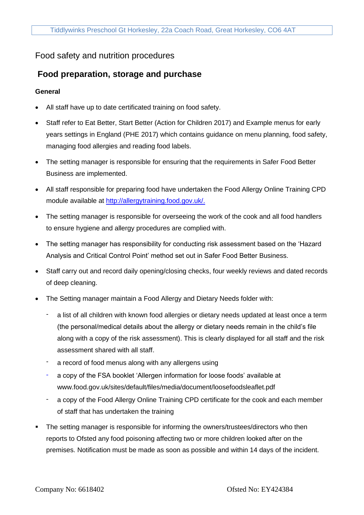## Food safety and nutrition procedures

# **Food preparation, storage and purchase**

#### **General**

- All staff have up to date certificated training on food safety.
- Staff refer to Eat Better, Start Better (Action for Children 2017) and Example menus for early years settings in England (PHE 2017) which contains guidance on menu planning, food safety, managing food allergies and reading food labels.
- The setting manager is responsible for ensuring that the requirements in Safer Food Better Business are implemented.
- All staff responsible for preparing food have undertaken the Food Allergy Online Training CPD module available at [http://allergytraining.food.gov.uk/.](http://allergytraining.food.gov.uk/)
- The setting manager is responsible for overseeing the work of the cook and all food handlers to ensure hygiene and allergy procedures are complied with.
- The setting manager has responsibility for conducting risk assessment based on the 'Hazard Analysis and Critical Control Point' method set out in Safer Food Better Business.
- Staff carry out and record daily opening/closing checks, four weekly reviews and dated records of deep cleaning.
- The Setting manager maintain a Food Allergy and Dietary Needs folder with:
	- a list of all children with known food allergies or dietary needs updated at least once a term (the personal/medical details about the allergy or dietary needs remain in the child's file along with a copy of the risk assessment). This is clearly displayed for all staff and the risk assessment shared with all staff.
	- a record of food menus along with any allergens using
	- a copy of the FSA booklet 'Allergen information for loose foods' available at www.food.gov.uk/sites/default/files/media/document/loosefoodsleaflet.pdf
	- a copy of the Food Allergy Online Training CPD certificate for the cook and each member of staff that has undertaken the training
- The setting manager is responsible for informing the owners/trustees/directors who then reports to Ofsted any food poisoning affecting two or more children looked after on the premises. Notification must be made as soon as possible and within 14 days of the incident.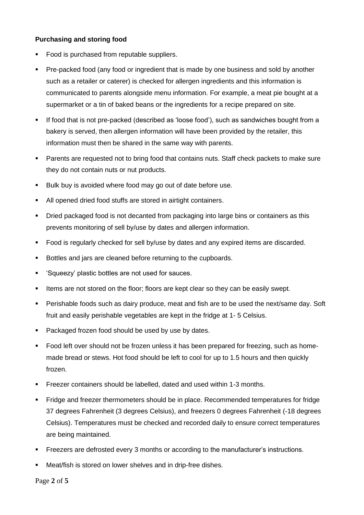#### **Purchasing and storing food**

- Food is purchased from reputable suppliers.
- Pre-packed food (any food or ingredient that is made by one business and sold by another such as a retailer or caterer) is checked for allergen ingredients and this information is communicated to parents alongside menu information. For example, a meat pie bought at a supermarket or a tin of baked beans or the ingredients for a recipe prepared on site.
- If food that is not pre-packed (described as 'loose food'), such as sandwiches bought from a bakery is served, then allergen information will have been provided by the retailer, this information must then be shared in the same way with parents.
- Parents are requested not to bring food that contains nuts. Staff check packets to make sure they do not contain nuts or nut products.
- Bulk buy is avoided where food may go out of date before use.
- All opened dried food stuffs are stored in airtight containers.
- **·** Dried packaged food is not decanted from packaging into large bins or containers as this prevents monitoring of sell by/use by dates and allergen information.
- Food is regularly checked for sell by/use by dates and any expired items are discarded.
- Bottles and jars are cleaned before returning to the cupboards.
- 'Squeezy' plastic bottles are not used for sauces.
- **EXECT** Items are not stored on the floor; floors are kept clear so they can be easily swept.
- **•** Perishable foods such as dairy produce, meat and fish are to be used the next/same day. Soft fruit and easily perishable vegetables are kept in the fridge at 1- 5 Celsius.
- Packaged frozen food should be used by use by dates.
- Food left over should not be frozen unless it has been prepared for freezing, such as homemade bread or stews. Hot food should be left to cool for up to 1.5 hours and then quickly frozen.
- **EXECTE FREEZER CONTAINERS Should be labelled, dated and used within 1-3 months.**
- Fridge and freezer thermometers should be in place. Recommended temperatures for fridge 37 degrees Fahrenheit (3 degrees Celsius), and freezers 0 degrees Fahrenheit (-18 degrees Celsius). Temperatures must be checked and recorded daily to ensure correct temperatures are being maintained.
- **Freezers are defrosted every 3 months or according to the manufacturer's instructions.**
- Meat/fish is stored on lower shelves and in drip-free dishes.

Page **2** of **5**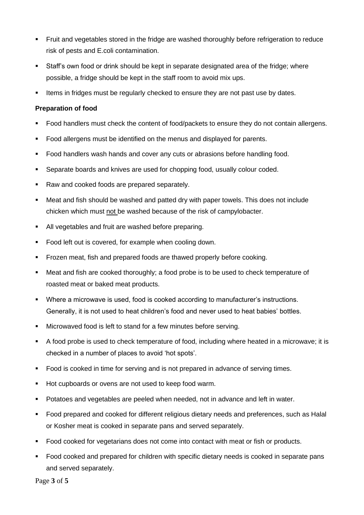- **•** Fruit and vegetables stored in the fridge are washed thoroughly before refrigeration to reduce risk of pests and E.coli contamination.
- Staff's own food or drink should be kept in separate designated area of the fridge; where possible, a fridge should be kept in the staff room to avoid mix ups.
- **EXECT** Items in fridges must be regularly checked to ensure they are not past use by dates.

#### **Preparation of food**

- Food handlers must check the content of food/packets to ensure they do not contain allergens.
- Food allergens must be identified on the menus and displayed for parents.
- Food handlers wash hands and cover any cuts or abrasions before handling food.
- Separate boards and knives are used for chopping food, usually colour coded.
- Raw and cooked foods are prepared separately.
- Meat and fish should be washed and patted dry with paper towels. This does not include chicken which must not be washed because of the risk of campylobacter.
- All vegetables and fruit are washed before preparing.
- Food left out is covered, for example when cooling down.
- **•** Frozen meat, fish and prepared foods are thawed properly before cooking.
- Meat and fish are cooked thoroughly; a food probe is to be used to check temperature of roasted meat or baked meat products.
- Where a microwave is used, food is cooked according to manufacturer's instructions. Generally, it is not used to heat children's food and never used to heat babies' bottles.
- Microwaved food is left to stand for a few minutes before serving.
- A food probe is used to check temperature of food, including where heated in a microwave; it is checked in a number of places to avoid 'hot spots'.
- Food is cooked in time for serving and is not prepared in advance of serving times.
- Hot cupboards or ovens are not used to keep food warm.
- Potatoes and vegetables are peeled when needed, not in advance and left in water.
- Food prepared and cooked for different religious dietary needs and preferences, such as Halal or Kosher meat is cooked in separate pans and served separately.
- Food cooked for vegetarians does not come into contact with meat or fish or products.
- Food cooked and prepared for children with specific dietary needs is cooked in separate pans and served separately.

Page **3** of **5**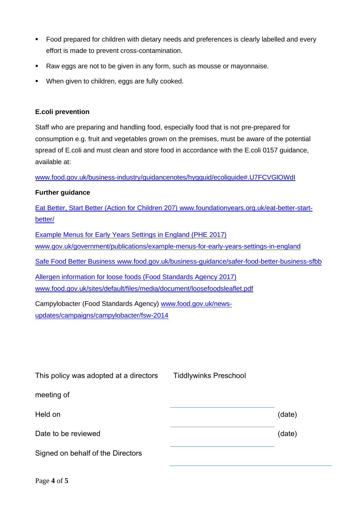- Food prepared for children with dietary needs and preferences is clearly labelled and every effort is made to prevent cross-contamination.
- Raw eggs are not to be given in any form, such as mousse or mayonnaise.
- When given to children, eggs are fully cooked.

#### **E.coli prevention**

Staff who are preparing and handling food, especially food that is not pre-prepared for consumption e.g. fruit and vegetables grown on the premises, must be aware of the potential spread of E.coli and must clean and store food in accordance with the E.coli 0157 guidance, available at:

www.food.gov.uk/business-industry/guidancenotes/hygguid/ecoliguide#.U7FCVGlOWdI

### **Further guidance**

Eat Better, Start Better (Action for Children 207) www.foundationyears.org.uk/eat-better-startbetter/

Example Menus for Early Years Settings in England (PHE 2017) www.gov.uk/government/publications/example-menus-for-early-years-settings-in-england Safe Food Better Business www.food.gov.uk/business-guidance/safer-food-better-business-sfbb Allergen information for loose foods (Food Standards Agency 2017) www.food.gov.uk/sites/default/files/media/document/loosefoodsleaflet.pdf Campylobacter (Food Standards Agency) www.food.gov.uk/news-

updates/campaigns/campylobacter/fsw-2014

| This policy was adopted at a directors | <b>Tiddlywinks Preschool</b> |        |
|----------------------------------------|------------------------------|--------|
| meeting of                             |                              |        |
| Held on                                |                              | (date) |
| Date to be reviewed                    |                              | (date) |
| Signed on behalf of the Directors      |                              |        |